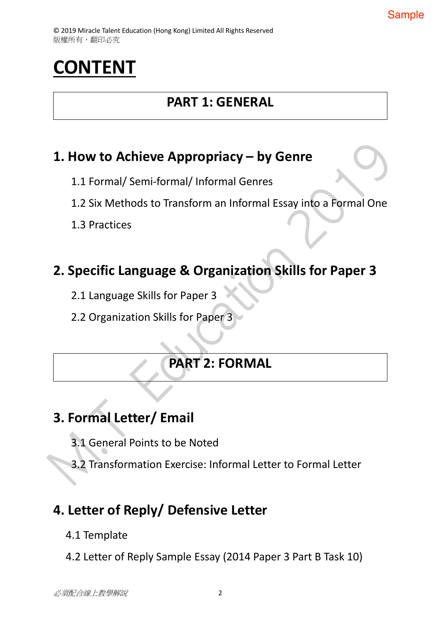# **CONTENT**

### **PART 1: GENERAL**

### **1. How to Achieve Appropriacy – by Genre**

- 1.1 Formal/ Semi-formal/ Informal Genres
- 1.2 Six Methods to Transform an Informal Essay into a Formal One
- 1.3 Practices

### **2. Specific Language & Organization Skills for Paper 3**

- 2.1 Language Skills for Paper 3
- 2.2 Organization Skills for Paper 3

### **PART 2: FORMAL**

# **3. Formal Letter/ Email**

- 3.1 General Points to be Noted
- 3.2 Transformation Exercise: Informal Letter to Formal Letter

### **4. Letter of Reply/ Defensive Letter**

- 4.1 Template
- 4.2 Letter of Reply Sample Essay (2014 Paper 3 Part B Task 10)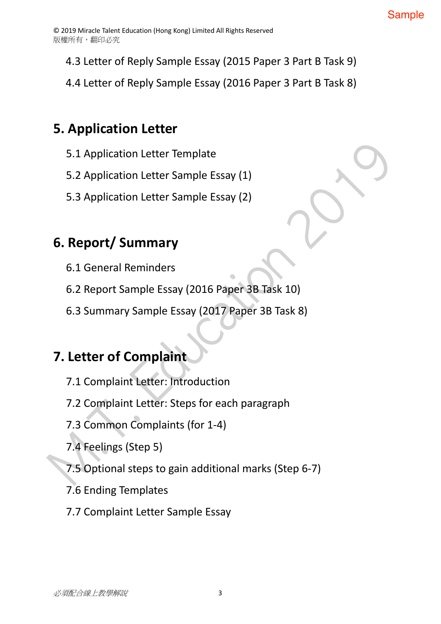- 4.3 Letter of Reply Sample Essay (2015 Paper 3 Part B Task 9)
- 4.4 Letter of Reply Sample Essay (2016 Paper 3 Part B Task 8)

## **5. Application Letter**

- 5.1 Application Letter Template
- 5.2 Application Letter Sample Essay (1)
- 5.3 Application Letter Sample Essay (2)

### **6. Report/ Summary**

- 6.1 General Reminders
- 6.2 Report Sample Essay (2016 Paper 3B Task 10)
- 6.3 Summary Sample Essay (2017 Paper 3B Task 8)

## **7. Letter of Complaint**

- 7.1 Complaint Letter: Introduction
- 7.2 Complaint Letter: Steps for each paragraph
- 7.3 Common Complaints (for 1-4)
- 7.4 Feelings (Step 5)
- 7.5 Optional steps to gain additional marks (Step 6-7)
- 7.6 Ending Templates
- 7.7 Complaint Letter Sample Essay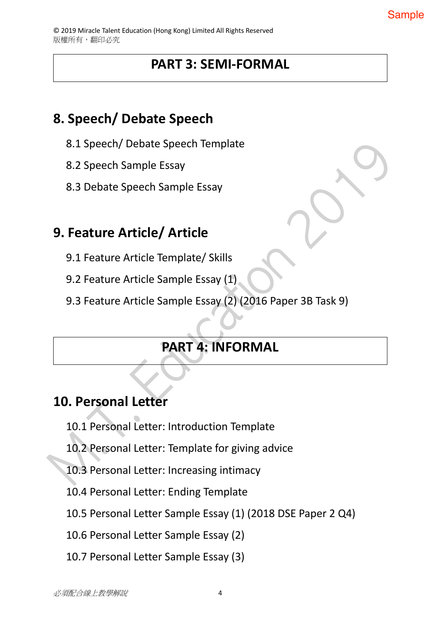### **PART 3: SEMI-FORMAL**

### **8. Speech/ Debate Speech**

- 8.1 Speech/ Debate Speech Template
- 8.2 Speech Sample Essay
- 8.3 Debate Speech Sample Essay

## **9. Feature Article/ Article**

- 9.1 Feature Article Template/ Skills
- 9.2 Feature Article Sample Essay (1)
- 9.3 Feature Article Sample Essay (2) (2016 Paper 3B Task 9)

# **PART 4: INFORMAL**

### **10. Personal Letter**

- 10.1 Personal Letter: Introduction Template
- 10.2 Personal Letter: Template for giving advice
- 10.3 Personal Letter: Increasing intimacy
- 10.4 Personal Letter: Ending Template
- 10.5 Personal Letter Sample Essay (1) (2018 DSE Paper 2 Q4)
- 10.6 Personal Letter Sample Essay (2)
- 10.7 Personal Letter Sample Essay (3)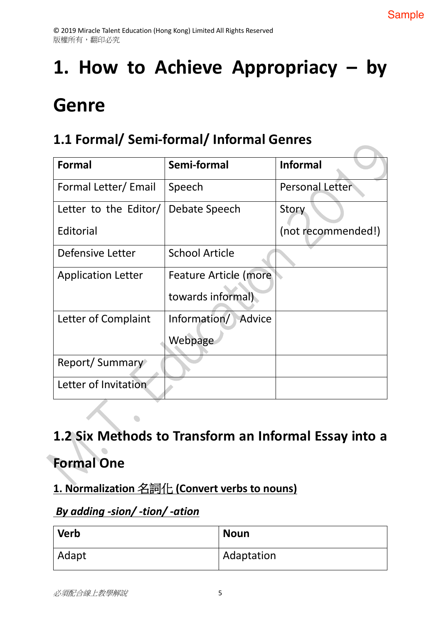# **1. How to Achieve Appropriacy – by**

# **Genre**

## **1.1 Formal/ Semi-formal/ Informal Genres**

| Formal                    | Semi-formal            | <b>Informal</b>        |
|---------------------------|------------------------|------------------------|
| Formal Letter/Email       | Speech                 | <b>Personal Letter</b> |
| Letter to the Editor/     | Debate Speech          | Story                  |
| Editorial                 |                        | (not recommended!)     |
| Defensive Letter          | <b>School Article</b>  |                        |
| <b>Application Letter</b> | Feature Article (more  |                        |
|                           | towards informal)      |                        |
| Letter of Complaint       | Information/<br>Advice |                        |
|                           | Webpage                |                        |
| Report/Summary            |                        |                        |
| Letter of Invitation      |                        |                        |

## **1.2 Six Methods to Transform an Informal Essay into a**

# **Formal One**

### **1. Normalization** ` **(Convert verbs to nouns)**

### *By adding -sion/ -tion/ -ation*

| <b>Verb</b> | <b>Noun</b> |
|-------------|-------------|
| Adapt       | Adaptation  |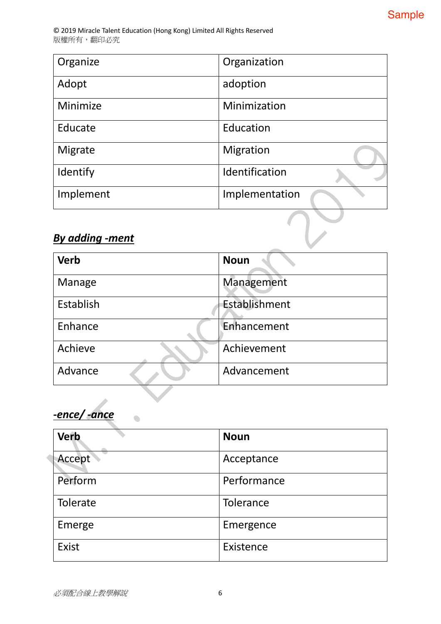| Organize               | Organization   |
|------------------------|----------------|
| Adopt                  | adoption       |
| Minimize               | Minimization   |
| Educate                | Education      |
| Migrate                | Migration      |
| Identify               | Identification |
| Implement              | Implementation |
|                        |                |
| <b>By adding -ment</b> |                |

### *By adding -ment*

| <b>Verb</b> | <b>Noun</b>   |
|-------------|---------------|
| Manage      | Management    |
| Establish   | Establishment |
| Enhance     | Enhancement   |
| Achieve     | Achievement   |
| Advance     | Advancement   |
|             |               |

*-ence/ -ance*

 $\bullet$ 

| <b>Verb</b> | <b>Noun</b> |
|-------------|-------------|
| Accept      | Acceptance  |
| Perform     | Performance |
| Tolerate    | Tolerance   |
| Emerge      | Emergence   |
| Exist       | Existence   |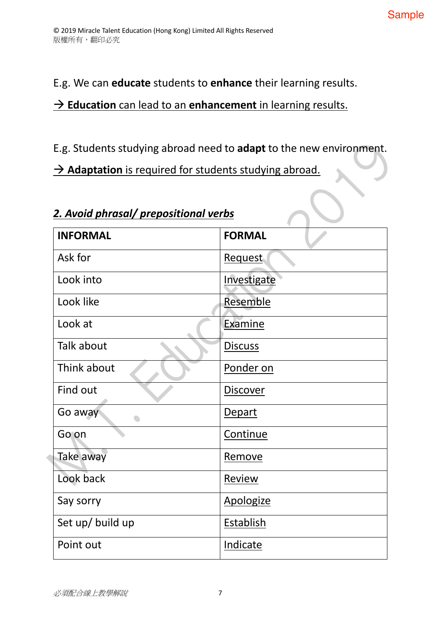E.g. We can **educate** students to **enhance** their learning results.

### $\rightarrow$  **Education** can lead to an **enhancement** in learning results.

E.g. Students studying abroad need to **adapt** to the new environment.

 $\rightarrow$  Adaptation is required for students studying abroad.

### *2. Avoid phrasal/ prepositional verbs*

| <b>INFORMAL</b>  | <b>FORMAL</b>    |
|------------------|------------------|
| Ask for          | Request          |
| Look into        | Investigate      |
| Look like        | Resemble         |
| Look at          | Examine          |
| Talk about       | <b>Discuss</b>   |
| Think about      | Ponder on        |
| Find out         | <b>Discover</b>  |
| Go away          | <b>Depart</b>    |
| Go on            | Continue         |
| Take away        | Remove           |
| Look back        | Review           |
| Say sorry        | Apologize        |
| Set up/ build up | <b>Establish</b> |
| Point out        | Indicate         |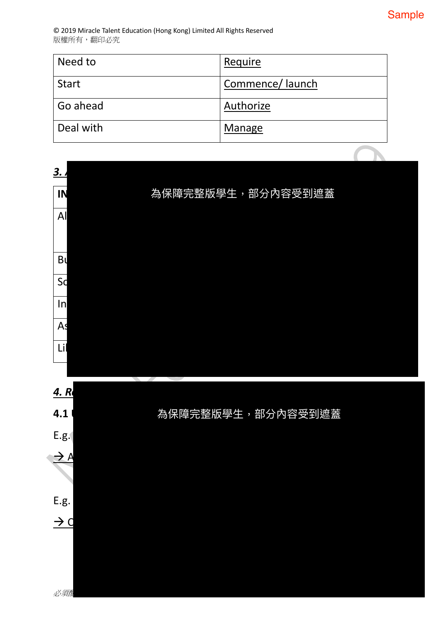| Need to      | Require         |
|--------------|-----------------|
| <b>Start</b> | Commence/launch |
| Go ahead     | Authorize       |
| Deal with    | Manage          |

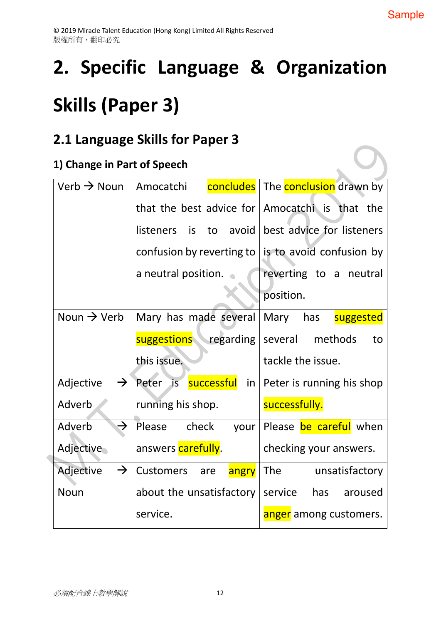# **2. Specific Language & Organization Skills (Paper 3)**

### **2.1 Language Skills for Paper 3**

### **1) Change in Part of Speech**

| Verb $\rightarrow$ Noun    | Amocatchi                             | concludes   The conclusion drawn by            |
|----------------------------|---------------------------------------|------------------------------------------------|
|                            |                                       | that the best advice for Amocatchi is that the |
|                            | is<br>to avoid<br><i>listeners</i>    | best advice for listeners                      |
|                            | confusion by reverting to             | is to avoid confusion by                       |
|                            | a neutral position.                   | reverting to a neutral                         |
|                            |                                       | position.                                      |
| Noun $\rightarrow$ Verb    | Mary has made several                 | Mary<br>has<br>suggested                       |
|                            | suggestions regarding several methods | to                                             |
|                            |                                       |                                                |
|                            | this issue.                           | tackle the issue.                              |
| $\rightarrow$<br>Adjective | Peter is successful in                | Peter is running his shop                      |
| Adverb                     | running his shop.                     | successfully.                                  |
| $\rightarrow$<br>Adverb    | Please<br>check<br>your               | Please be careful when                         |
| Adjective                  | answers carefully.                    | checking your answers.                         |
| Adjective<br>$\rightarrow$ | <b>Customers</b><br>are<br>angry      | <b>The</b><br>unsatisfactory                   |
| <b>Noun</b>                | about the unsatisfactory              | service<br>has<br>aroused                      |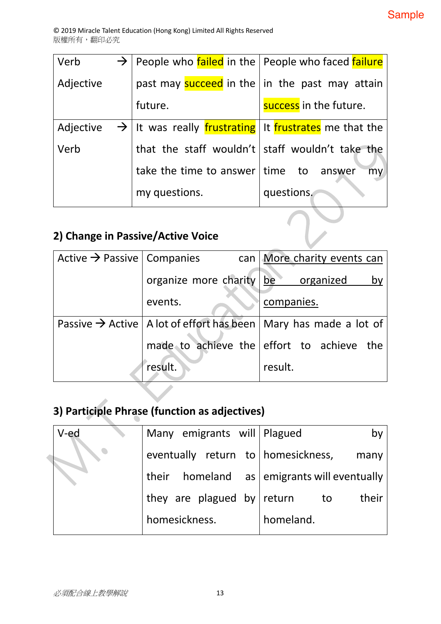| Verb<br>$\rightarrow$ |                                                                   | People who failed in the   People who faced failure   |
|-----------------------|-------------------------------------------------------------------|-------------------------------------------------------|
| Adjective             |                                                                   | past may <b>succeed</b> in the in the past may attain |
|                       | future.                                                           | success in the future.                                |
| Adjective             | $\rightarrow$ It was really frustrating It frustrates me that the |                                                       |
| Verb                  |                                                                   | that the staff wouldn't staff wouldn't take the       |
|                       | take the time to answer time to answer                            | my                                                    |
|                       | my questions.                                                     | questions.                                            |

### **2) Change in Passive/Active Voice**

| Active $\rightarrow$ Passive   Companies |                                    | can   More charity events can                                                    |
|------------------------------------------|------------------------------------|----------------------------------------------------------------------------------|
|                                          | organize more charity be organized | by                                                                               |
|                                          | events.                            | companies.                                                                       |
|                                          |                                    | Passive $\rightarrow$ Active   A lot of effort has been   Mary has made a lot of |
|                                          |                                    | made to achieve the effort to achieve the                                        |
|                                          | result.                            | result.                                                                          |

 $\sum$ 

# **3) Participle Phrase (function as adjectives)**

| V-ed | Many emigrants will   Plagued        | by                                          |
|------|--------------------------------------|---------------------------------------------|
|      | eventually return to   homesickness, | many                                        |
|      |                                      | their homeland as emigrants will eventually |
|      | they are plagued by return           | their<br>to to                              |
|      | homesickness.                        | homeland.                                   |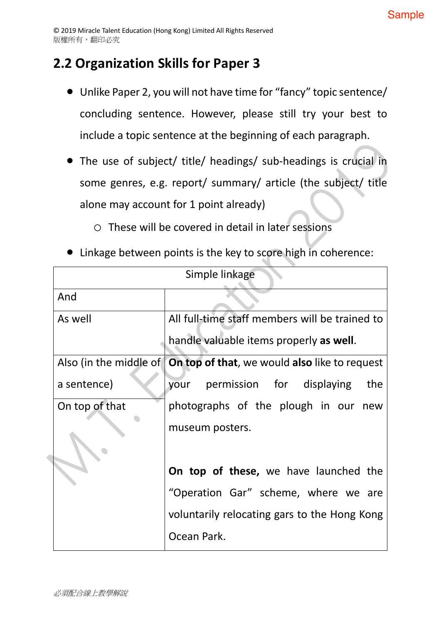### **2.2 Organization Skills for Paper 3**

- Unlike Paper 2, you will not have time for "fancy" topic sentence/ concluding sentence. However, please still try your best to include a topic sentence at the beginning of each paragraph.
- The use of subject/ title/ headings/ sub-headings is crucial in some genres, e.g. report/ summary/ article (the subject/ title alone may account for 1 point already)
	- o These will be covered in detail in later sessions
- Linkage between points is the key to score high in coherence:

| Simple linkage                          |                                                                        |  |  |
|-----------------------------------------|------------------------------------------------------------------------|--|--|
| And                                     |                                                                        |  |  |
| As well                                 | All full-time staff members will be trained to                         |  |  |
| handle valuable items properly as well. |                                                                        |  |  |
|                                         | Also (in the middle of   On top of that, we would also like to request |  |  |
| a sentence)                             | permission for displaying<br>the<br>your                               |  |  |
| On top of that                          | photographs of the plough in our new                                   |  |  |
|                                         | museum posters.                                                        |  |  |
|                                         |                                                                        |  |  |
|                                         | On top of these, we have launched the                                  |  |  |
|                                         | "Operation Gar" scheme, where we are                                   |  |  |
|                                         | voluntarily relocating gars to the Hong Kong                           |  |  |
|                                         | Ocean Park.                                                            |  |  |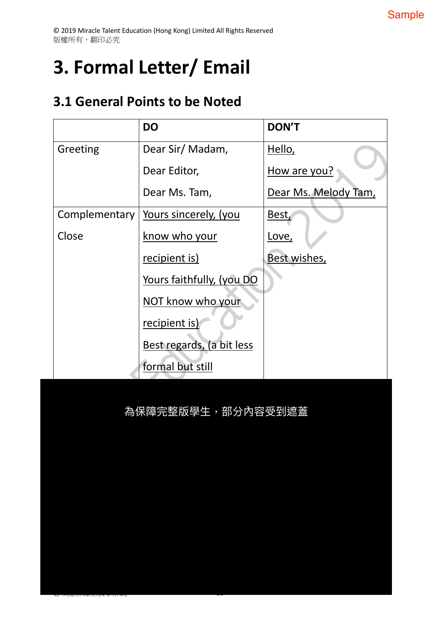# **3. Formal Letter/ Email**

### **3.1 General Points to be Noted**

,qmV8#^c 20

|               | <b>DO</b>                 | <b>DON'T</b>         |
|---------------|---------------------------|----------------------|
| Greeting      | Dear Sir/Madam,           | Hello,               |
|               | Dear Editor,              | How are you?         |
|               | Dear Ms. Tam,             | Dear Ms. Melody Tam, |
| Complementary | Yours sincerely, (you     | Best,                |
| Close         | know who your             | Love,                |
|               | recipient is)             | Best wishes,         |
|               | Yours faithfully, (you DO |                      |
|               | NOT know who your         |                      |
|               | recipient is)             |                      |
|               | Best regards, (a bit less |                      |
|               | formal but still          |                      |

為保障完整版學生,部分內容受到遮蓋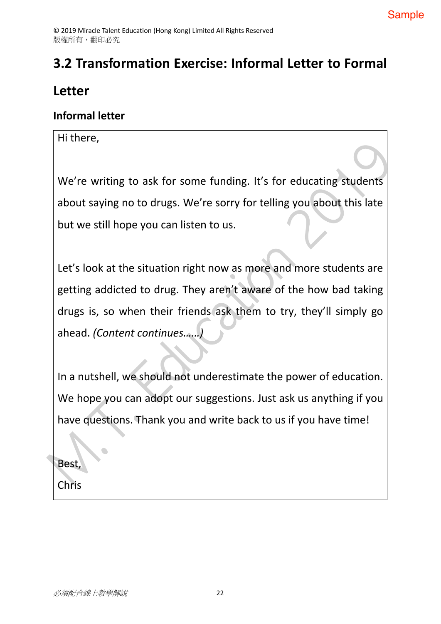# **3.2 Transformation Exercise: Informal Letter to Formal**

### **Letter**

#### **Informal letter**

#### Hi there,

We're writing to ask for some funding. It's for educating students about saying no to drugs. We're sorry for telling you about this late but we still hope you can listen to us.

Let's look at the situation right now as more and more students are getting addicted to drug. They aren't aware of the how bad taking drugs is, so when their friends ask them to try, they'll simply go ahead. *(Content continues……)*

In a nutshell, we should not underestimate the power of education. We hope you can adopt our suggestions. Just ask us anything if you have questions. Thank you and write back to us if you have time!

Best,

Chris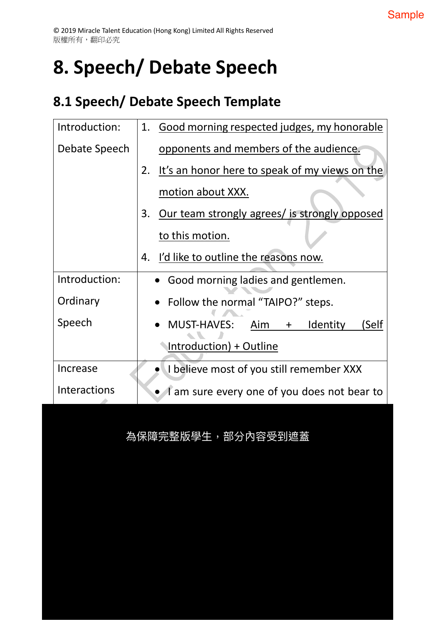# **8. Speech/ Debate Speech**

## **8.1 Speech/ Debate Speech Template**

| Introduction:       | Good morning respected judges, my honorable<br>1.               |
|---------------------|-----------------------------------------------------------------|
| Debate Speech       | opponents and members of the audience.                          |
|                     | It's an honor here to speak of my views on the<br>2.            |
|                     | motion about XXX.                                               |
|                     | Our team strongly agrees/ is strongly opposed<br>3.             |
|                     | to this motion.                                                 |
|                     | I'd like to outline the reasons now.<br>4.                      |
| Introduction:       | • Good morning ladies and gentlemen.                            |
| Ordinary            | Follow the normal "TAIPO?" steps.                               |
| Speech              | $\bullet$ MUST-HAVES:<br><b>Identity</b><br>(Self<br>Aim<br>$+$ |
|                     | Introduction) + Outline                                         |
| Increase            | I believe most of you still remember XXX                        |
| <b>Interactions</b> | I am sure every one of you does not bear to                     |

為保障完整版學生,部分內容受到遮蓋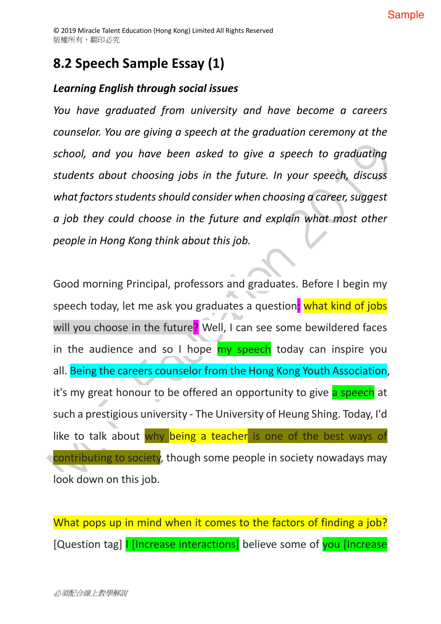## **8.2 Speech Sample Essay (1)**

### *Learning English through social issues*

*You have graduated from university and have become a careers counselor. You are giving a speech at the graduation ceremony at the school, and you have been asked to give a speech to graduating students about choosing jobs in the future. In your speech, discuss what factors students should consider when choosing a career, suggest a job they could choose in the future and explain what most other people in Hong Kong think about this job.*

Good morning Principal, professors and graduates. Before I begin my speech today, let me ask you graduates a question: what kind of jobs will you choose in the future? Well, I can see some bewildered faces in the audience and so I hope  $my$  speech today can inspire you all. Being the careers counselor from the Hong Kong Youth Association, it's my great honour to be offered an opportunity to give a speech at such a prestigious university - The University of Heung Shing. Today, I'd like to talk about why being a teacher is one of the best ways of contributing to society, though some people in society nowadays may look down on this job.

What pops up in mind when it comes to the factors of finding a job? [Question tag] **I [Increase interactions]** believe some of you [Increase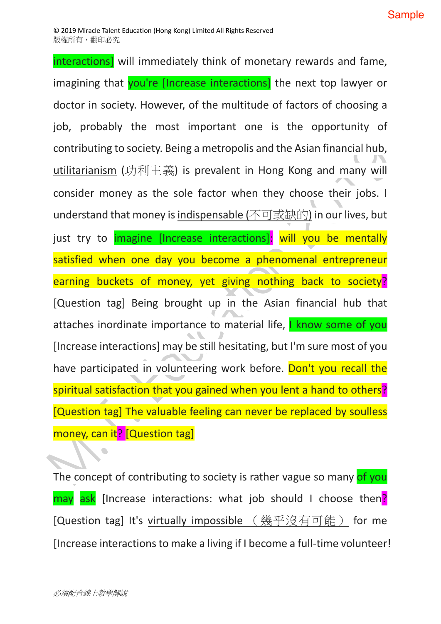interactions] will immediately think of monetary rewards and fame, imagining that you're [Increase interactions] the next top lawyer or doctor in society. However, of the multitude of factors of choosing a job, probably the most important one is the opportunity of contributing to society. Being a metropolis and the Asian financial hub, utilitarianism (功利主義) is prevalent in Hong Kong and many will consider money as the sole factor when they choose their jobs. I understand that money is indispensable (不可或缺的) in our lives, but just try to imagine [Increase interactions]: will you be mentally satisfied when one day you become a phenomenal entrepreneur earning buckets of money, yet giving nothing back to society? [Question tag] Being brought up in the Asian financial hub that attaches inordinate importance to material life, I know some of you [Increase interactions] may be still hesitating, but I'm sure most of you have participated in volunteering work before. Don't you recall the spiritual satisfaction that you gained when you lent a hand to others? [Question tag] The valuable feeling can never be replaced by soulless money, can it? [Question tag]

The concept of contributing to society is rather vague so many of you may ask [Increase interactions: what job should I choose then? [Question tag] It's virtually impossible (幾乎沒有可能) for me [Increase interactions to make a living if I become a full-time volunteer!

 $\bullet$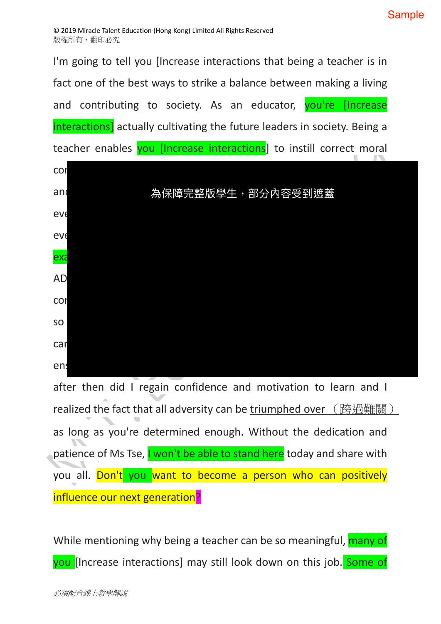I'm going to tell you [Increase interactions that being a teacher is in fact one of the best ways to strike a balance between making a living and contributing to society. As an educator, you're [Increase interactions] actually cultivating the future leaders in society. Being a teacher enables you [Increase interactions] to instill correct moral



after then did I regain confidence and motivation to learn and I realized the fact that all adversity can be triumphed over ( 跨過難關 ) as long as you're determined enough. Without the dedication and patience of Ms Tse, I won't be able to stand here today and share with you all. Don't you want to become a person who can positively influence our next generation?

While mentioning why being a teacher can be so meaningful, many of you [Increase interactions] may still look down on this job. Some of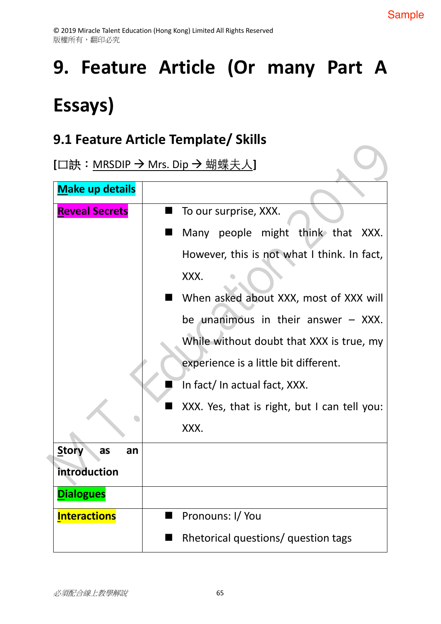# **9. Feature Article (Or many Part A Essays)**

### **9.1 Feature Article Template/ Skills**

**[**口訣:<u>MRSDIP → Mrs. Dip → 蝴蝶夫人</u>]

| <b>Make up details</b>   |                                              |
|--------------------------|----------------------------------------------|
| <b>Reveal Secrets</b>    | To our surprise, XXX.                        |
|                          | Many people might think that XXX.            |
|                          | However, this is not what I think. In fact,  |
|                          | XXX.                                         |
|                          | When asked about XXX, most of XXX will       |
|                          | be unanimous in their answer $-$ XXX.        |
|                          | While without doubt that XXX is true, my     |
|                          | experience is a little bit different.        |
|                          | In fact/In actual fact, XXX.                 |
|                          | XXX. Yes, that is right, but I can tell you: |
|                          | XXX.                                         |
| <b>Story</b><br>as<br>an |                                              |
| introduction             |                                              |
| <b>Dialogues</b>         |                                              |
| <b>Interactions</b><br>■ | Pronouns: I/You                              |
|                          | Rhetorical questions/ question tags          |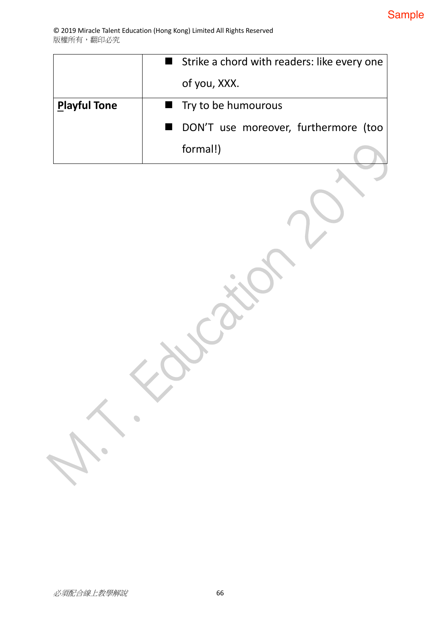|                     | Strike a chord with readers: like every one |  |
|---------------------|---------------------------------------------|--|
|                     | of you, XXX.                                |  |
| <b>Playful Tone</b> | $\blacksquare$ Try to be humourous          |  |
|                     | DON'T use moreover, furthermore (too        |  |
|                     | formal!)                                    |  |

 $\begin{array}{c} \bullet \\ \bullet \end{array}$ 

 $\bullet$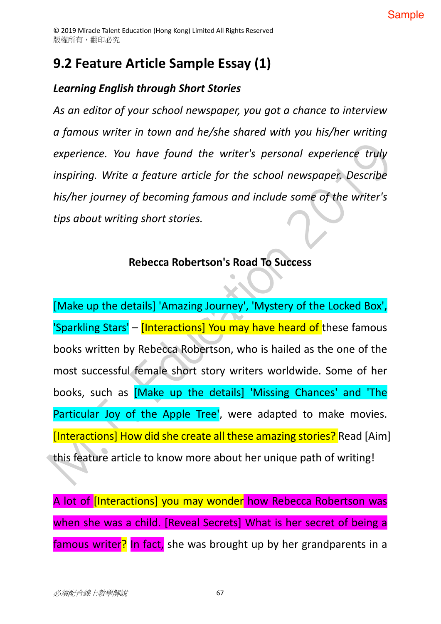### **9.2 Feature Article Sample Essay (1)**

### *Learning English through Short Stories*

*As an editor of your school newspaper, you got a chance to interview a famous writer in town and he/she shared with you his/her writing experience. You have found the writer's personal experience truly inspiring. Write a feature article for the school newspaper. Describe his/her journey of becoming famous and include some of the writer's tips about writing short stories.*

### **Rebecca Robertson's Road To Success**

[Make up the details] 'Amazing Journey', 'Mystery of the Locked Box', 'Sparkling Stars' - [Interactions] You may have heard of these famous books written by Rebecca Robertson, who is hailed as the one of the most successful female short story writers worldwide. Some of her books, such as [Make up the details] 'Missing Chances' and 'The Particular Joy of the Apple Tree', were adapted to make movies. [Interactions] How did she create all these amazing stories? Read [Aim] this feature article to know more about her unique path of writing!

A lot of [Interactions] you may wonder how Rebecca Robertson was when she was a child. [Reveal Secrets] What is her secret of being a famous writer? In fact, she was brought up by her grandparents in a